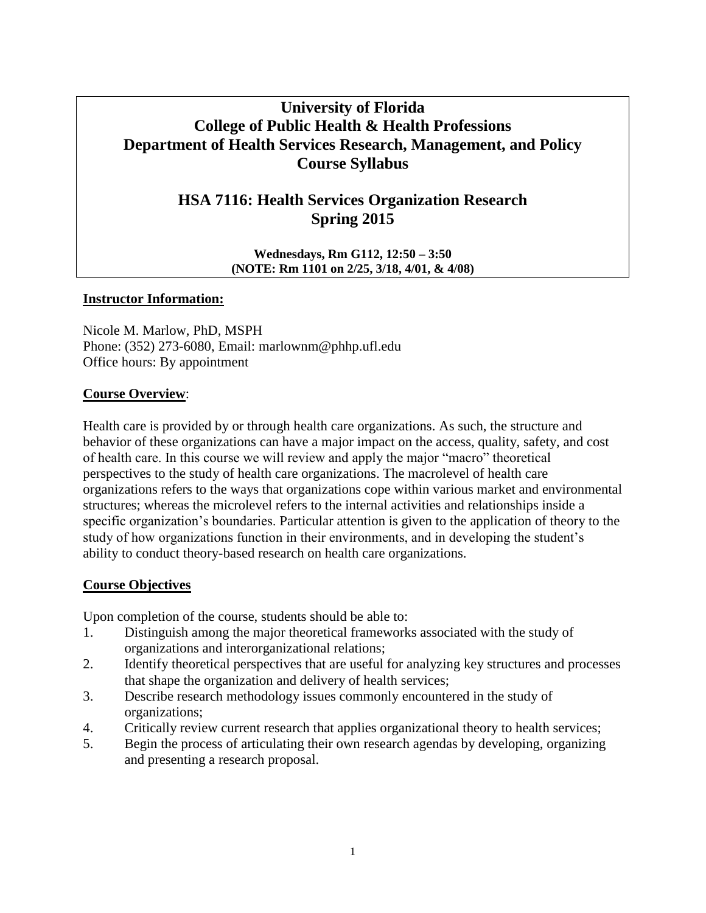# **University of Florida College of Public Health & Health Professions Department of Health Services Research, Management, and Policy Course Syllabus**

# **HSA 7116: Health Services Organization Research Spring 2015**

**Wednesdays, Rm G112, 12:50 – 3:50 (NOTE: Rm 1101 on 2/25, 3/18, 4/01, & 4/08)**

#### **Instructor Information:**

Nicole M. Marlow, PhD, MSPH Phone: (352) 273-6080, Email: marlownm@phhp.ufl.edu Office hours: By appointment

## **Course Overview**:

Health care is provided by or through health care organizations. As such, the structure and behavior of these organizations can have a major impact on the access, quality, safety, and cost of health care. In this course we will review and apply the major "macro" theoretical perspectives to the study of health care organizations. The macrolevel of health care organizations refers to the ways that organizations cope within various market and environmental structures; whereas the microlevel refers to the internal activities and relationships inside a specific organization's boundaries. Particular attention is given to the application of theory to the study of how organizations function in their environments, and in developing the student's ability to conduct theory-based research on health care organizations.

## **Course Objectives**

Upon completion of the course, students should be able to:

- 1. Distinguish among the major theoretical frameworks associated with the study of organizations and interorganizational relations;
- 2. Identify theoretical perspectives that are useful for analyzing key structures and processes that shape the organization and delivery of health services;
- 3. Describe research methodology issues commonly encountered in the study of organizations;
- 4. Critically review current research that applies organizational theory to health services;
- 5. Begin the process of articulating their own research agendas by developing, organizing and presenting a research proposal.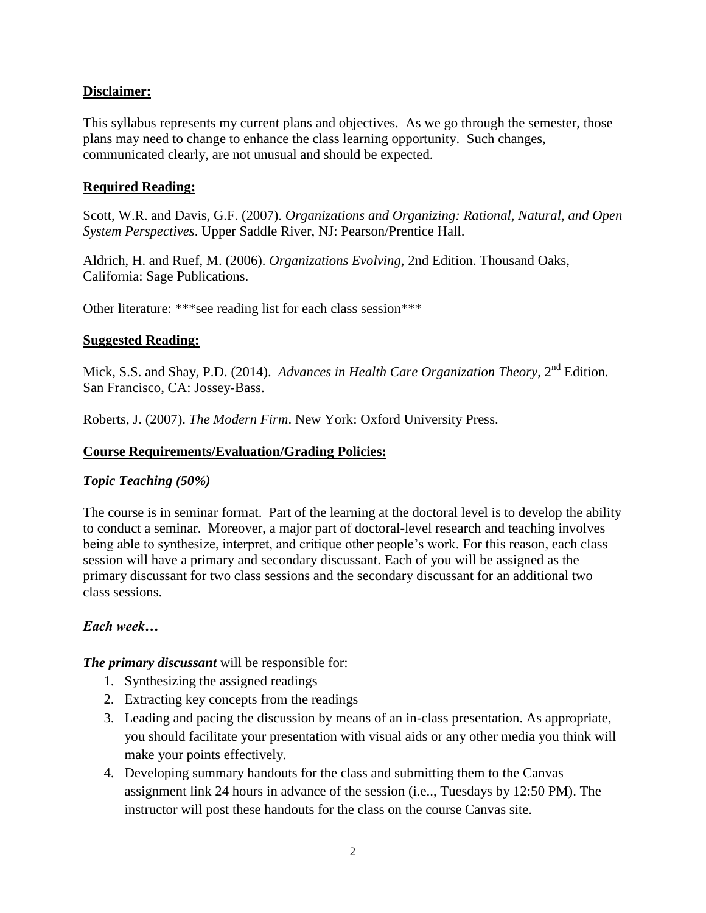# **Disclaimer:**

This syllabus represents my current plans and objectives. As we go through the semester, those plans may need to change to enhance the class learning opportunity. Such changes, communicated clearly, are not unusual and should be expected.

# **Required Reading:**

Scott, W.R. and Davis, G.F. (2007). *Organizations and Organizing: Rational, Natural, and Open System Perspectives*. Upper Saddle River, NJ: Pearson/Prentice Hall.

Aldrich, H. and Ruef, M. (2006). *Organizations Evolving*, 2nd Edition. Thousand Oaks, California: Sage Publications.

Other literature: \*\*\*see reading list for each class session\*\*\*

# **Suggested Reading:**

Mick, S.S. and Shay, P.D. (2014). *Advances in Health Care Organization Theory*, 2<sup>nd</sup> Edition. San Francisco, CA: Jossey-Bass.

Roberts, J. (2007). *The Modern Firm*. New York: Oxford University Press.

## **Course Requirements/Evaluation/Grading Policies:**

## *Topic Teaching (50%)*

The course is in seminar format. Part of the learning at the doctoral level is to develop the ability to conduct a seminar. Moreover, a major part of doctoral-level research and teaching involves being able to synthesize, interpret, and critique other people's work. For this reason, each class session will have a primary and secondary discussant. Each of you will be assigned as the primary discussant for two class sessions and the secondary discussant for an additional two class sessions.

## *Each week…*

*The primary discussant* will be responsible for:

- 1. Synthesizing the assigned readings
- 2. Extracting key concepts from the readings
- 3. Leading and pacing the discussion by means of an in-class presentation. As appropriate, you should facilitate your presentation with visual aids or any other media you think will make your points effectively.
- 4. Developing summary handouts for the class and submitting them to the Canvas assignment link 24 hours in advance of the session (i.e.., Tuesdays by 12:50 PM). The instructor will post these handouts for the class on the course Canvas site.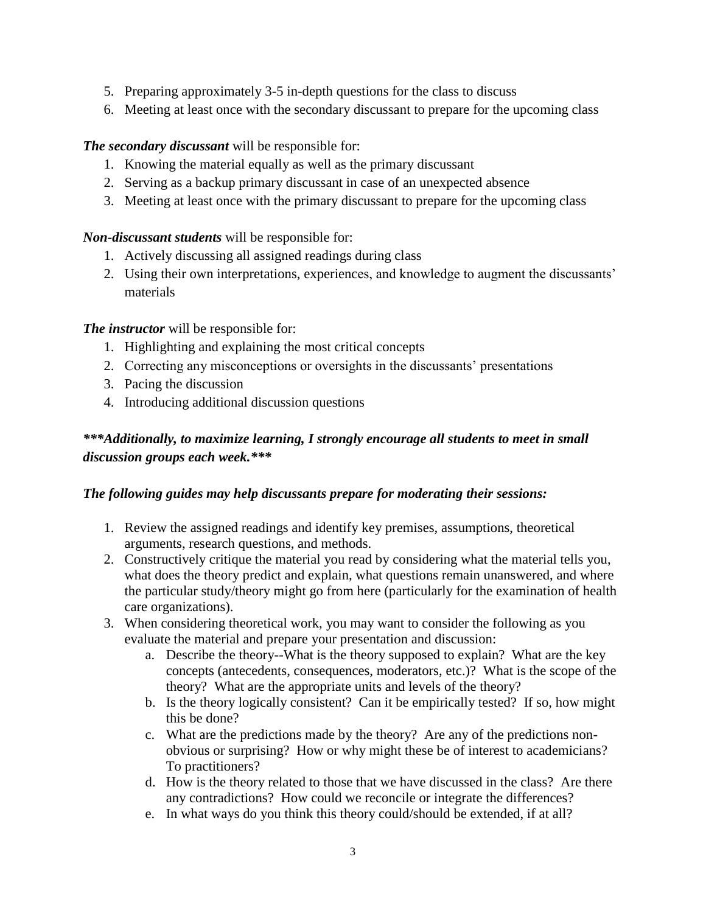- 5. Preparing approximately 3-5 in-depth questions for the class to discuss
- 6. Meeting at least once with the secondary discussant to prepare for the upcoming class

# *The secondary discussant* will be responsible for:

- 1. Knowing the material equally as well as the primary discussant
- 2. Serving as a backup primary discussant in case of an unexpected absence
- 3. Meeting at least once with the primary discussant to prepare for the upcoming class

# *Non-discussant students* will be responsible for:

- 1. Actively discussing all assigned readings during class
- 2. Using their own interpretations, experiences, and knowledge to augment the discussants' materials

# *The instructor* will be responsible for:

- 1. Highlighting and explaining the most critical concepts
- 2. Correcting any misconceptions or oversights in the discussants' presentations
- 3. Pacing the discussion
- 4. Introducing additional discussion questions

# *\*\*\*Additionally, to maximize learning, I strongly encourage all students to meet in small discussion groups each week.\*\*\**

# *The following guides may help discussants prepare for moderating their sessions:*

- 1. Review the assigned readings and identify key premises, assumptions, theoretical arguments, research questions, and methods.
- 2. Constructively critique the material you read by considering what the material tells you, what does the theory predict and explain, what questions remain unanswered, and where the particular study/theory might go from here (particularly for the examination of health care organizations).
- 3. When considering theoretical work, you may want to consider the following as you evaluate the material and prepare your presentation and discussion:
	- a. Describe the theory--What is the theory supposed to explain? What are the key concepts (antecedents, consequences, moderators, etc.)? What is the scope of the theory? What are the appropriate units and levels of the theory?
	- b. Is the theory logically consistent? Can it be empirically tested? If so, how might this be done?
	- c. What are the predictions made by the theory? Are any of the predictions nonobvious or surprising? How or why might these be of interest to academicians? To practitioners?
	- d. How is the theory related to those that we have discussed in the class? Are there any contradictions? How could we reconcile or integrate the differences?
	- e. In what ways do you think this theory could/should be extended, if at all?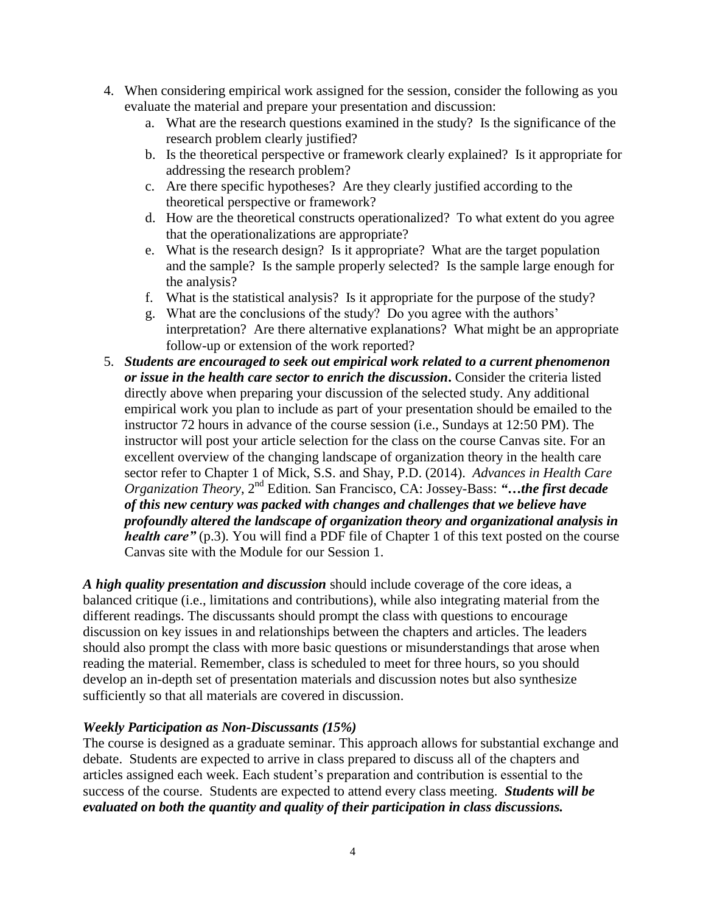- 4. When considering empirical work assigned for the session, consider the following as you evaluate the material and prepare your presentation and discussion:
	- a. What are the research questions examined in the study? Is the significance of the research problem clearly justified?
	- b. Is the theoretical perspective or framework clearly explained? Is it appropriate for addressing the research problem?
	- c. Are there specific hypotheses? Are they clearly justified according to the theoretical perspective or framework?
	- d. How are the theoretical constructs operationalized? To what extent do you agree that the operationalizations are appropriate?
	- e. What is the research design? Is it appropriate? What are the target population and the sample? Is the sample properly selected? Is the sample large enough for the analysis?
	- f. What is the statistical analysis? Is it appropriate for the purpose of the study?
	- g. What are the conclusions of the study? Do you agree with the authors' interpretation? Are there alternative explanations? What might be an appropriate follow-up or extension of the work reported?
- 5. *Students are encouraged to seek out empirical work related to a current phenomenon or issue in the health care sector to enrich the discussion***.** Consider the criteria listed directly above when preparing your discussion of the selected study. Any additional empirical work you plan to include as part of your presentation should be emailed to the instructor 72 hours in advance of the course session (i.e., Sundays at 12:50 PM). The instructor will post your article selection for the class on the course Canvas site. For an excellent overview of the changing landscape of organization theory in the health care sector refer to Chapter 1 of Mick, S.S. and Shay, P.D. (2014). *Advances in Health Care Organization Theory*, 2nd Edition*.* San Francisco, CA: Jossey-Bass: *"…the first decade of this new century was packed with changes and challenges that we believe have profoundly altered the landscape of organization theory and organizational analysis in health care"* (p.3). You will find a PDF file of Chapter 1 of this text posted on the course Canvas site with the Module for our Session 1.

*A high quality presentation and discussion* should include coverage of the core ideas, a balanced critique (i.e., limitations and contributions), while also integrating material from the different readings. The discussants should prompt the class with questions to encourage discussion on key issues in and relationships between the chapters and articles. The leaders should also prompt the class with more basic questions or misunderstandings that arose when reading the material. Remember, class is scheduled to meet for three hours, so you should develop an in-depth set of presentation materials and discussion notes but also synthesize sufficiently so that all materials are covered in discussion.

## *Weekly Participation as Non-Discussants (15%)*

The course is designed as a graduate seminar. This approach allows for substantial exchange and debate. Students are expected to arrive in class prepared to discuss all of the chapters and articles assigned each week. Each student's preparation and contribution is essential to the success of the course. Students are expected to attend every class meeting. *Students will be evaluated on both the quantity and quality of their participation in class discussions.*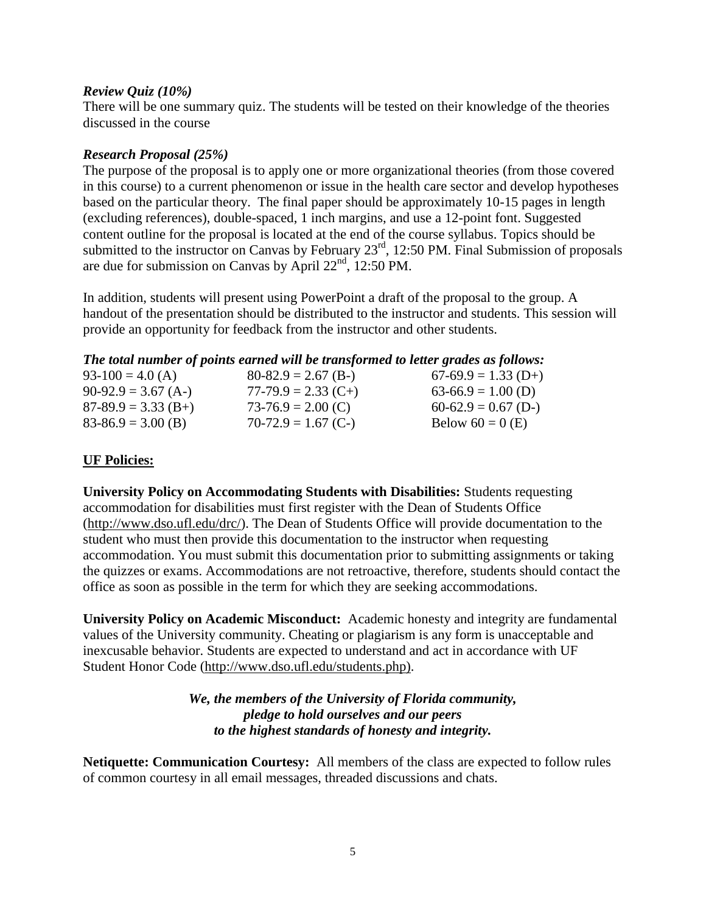## *Review Quiz (10%)*

There will be one summary quiz. The students will be tested on their knowledge of the theories discussed in the course

## *Research Proposal (25%)*

The purpose of the proposal is to apply one or more organizational theories (from those covered in this course) to a current phenomenon or issue in the health care sector and develop hypotheses based on the particular theory. The final paper should be approximately 10-15 pages in length (excluding references), double-spaced, 1 inch margins, and use a 12-point font. Suggested content outline for the proposal is located at the end of the course syllabus. Topics should be submitted to the instructor on Canvas by February 23<sup>rd</sup>, 12:50 PM. Final Submission of proposals are due for submission on Canvas by April  $22<sup>nd</sup>$ , 12:50 PM.

In addition, students will present using PowerPoint a draft of the proposal to the group. A handout of the presentation should be distributed to the instructor and students. This session will provide an opportunity for feedback from the instructor and other students.

# *The total number of points earned will be transformed to letter grades as follows:*

| $93-100 = 4.0$ (A)    | $80-82.9 = 2.67$ (B-) | $67-69.9 = 1.33$ (D+) |
|-----------------------|-----------------------|-----------------------|
| $90-92.9 = 3.67$ (A-) | $77-79.9 = 2.33$ (C+) | $63-66.9 = 1.00$ (D)  |
| $87-89.9 = 3.33$ (B+) | $73-76.9 = 2.00$ (C)  | $60-62.9 = 0.67$ (D-) |
| $83-86.9 = 3.00$ (B)  | $70-72.9 = 1.67$ (C-) | Below $60 = 0$ (E)    |

# **UF Policies:**

**University Policy on Accommodating Students with Disabilities:** Students requesting accommodation for disabilities must first register with the Dean of Students Office [\(http://www.dso.ufl.edu/drc/\)](http://www.dso.ufl.edu/drc/). The Dean of Students Office will provide documentation to the student who must then provide this documentation to the instructor when requesting accommodation. You must submit this documentation prior to submitting assignments or taking the quizzes or exams. Accommodations are not retroactive, therefore, students should contact the office as soon as possible in the term for which they are seeking accommodations.

**University Policy on Academic Misconduct:** Academic honesty and integrity are fundamental values of the University community. Cheating or plagiarism is any form is unacceptable and inexcusable behavior. Students are expected to understand and act in accordance with UF Student Honor Code [\(http://www.dso.ufl.edu/students.php\)](http://www.dso.ufl.edu/students.php).

# *We, the members of the University of Florida community, pledge to hold ourselves and our peers to the highest standards of honesty and integrity.*

**Netiquette: Communication Courtesy:** All members of the class are expected to follow rules of common courtesy in all email messages, threaded discussions and chats.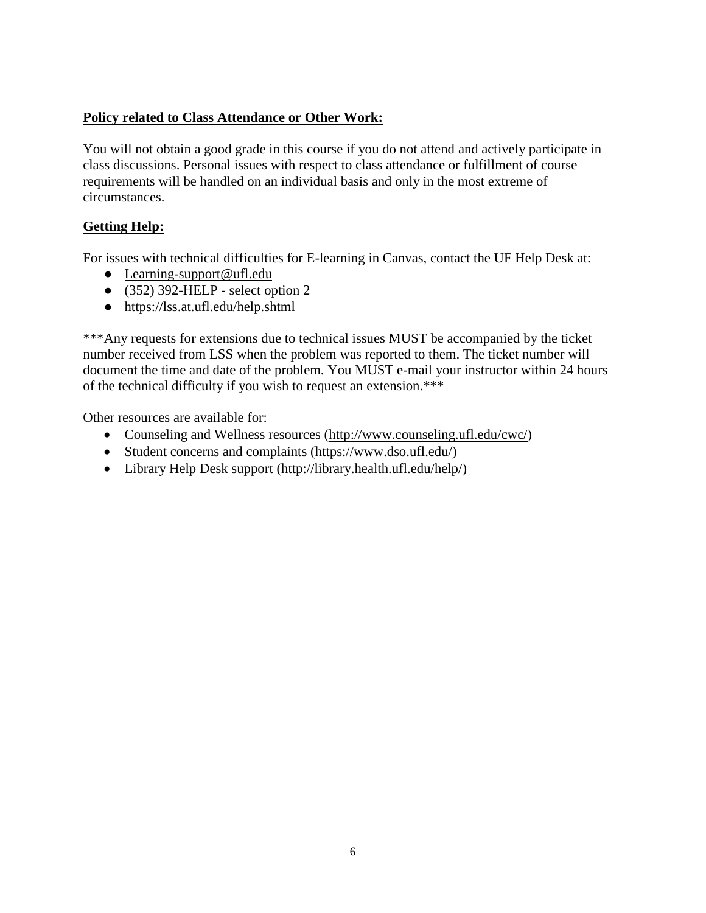# **Policy related to Class Attendance or Other Work:**

You will not obtain a good grade in this course if you do not attend and actively participate in class discussions. Personal issues with respect to class attendance or fulfillment of course requirements will be handled on an individual basis and only in the most extreme of circumstances.

# **Getting Help:**

For issues with technical difficulties for E-learning in Canvas, contact the UF Help Desk at:

- [Learning-support@ufl.edu](mailto:Learning-support@ufl.edu)
- $\bullet$  (352) 392-HELP select option 2
- <https://lss.at.ufl.edu/help.shtml>

\*\*\*Any requests for extensions due to technical issues MUST be accompanied by the ticket number received from LSS when the problem was reported to them. The ticket number will document the time and date of the problem. You MUST e-mail your instructor within 24 hours of the technical difficulty if you wish to request an extension.\*\*\*

Other resources are available for:

- Counseling and Wellness resources [\(http://www.counseling.ufl.edu/cwc/\)](http://www.counseling.ufl.edu/cwc/)
- Student concerns and complaints [\(https://www.dso.ufl.edu/\)](https://www.dso.ufl.edu/)
- Library Help Desk support [\(http://library.health.ufl.edu/help/\)](http://library.health.ufl.edu/help/)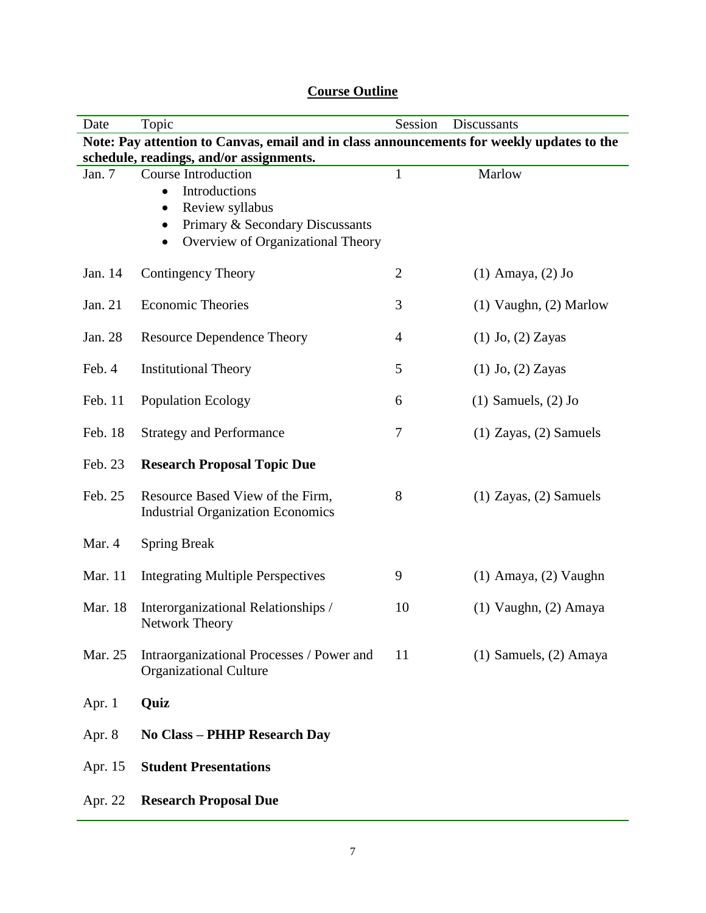| Date                                                                                      | Topic                                                                                                                                                                                      | Session        | Discussants                |  |  |
|-------------------------------------------------------------------------------------------|--------------------------------------------------------------------------------------------------------------------------------------------------------------------------------------------|----------------|----------------------------|--|--|
| Note: Pay attention to Canvas, email and in class announcements for weekly updates to the |                                                                                                                                                                                            |                |                            |  |  |
| schedule, readings, and/or assignments.                                                   |                                                                                                                                                                                            |                |                            |  |  |
| Jan. 7                                                                                    | <b>Course Introduction</b><br>Introductions<br>$\bullet$<br>Review syllabus<br>$\bullet$<br>Primary & Secondary Discussants<br>$\bullet$<br>Overview of Organizational Theory<br>$\bullet$ | $\mathbf{1}$   | Marlow                     |  |  |
| Jan. 14                                                                                   | <b>Contingency Theory</b>                                                                                                                                                                  | $\overline{2}$ | $(1)$ Amaya, $(2)$ Jo      |  |  |
| Jan. 21                                                                                   | <b>Economic Theories</b>                                                                                                                                                                   | 3              | $(1)$ Vaughn, $(2)$ Marlow |  |  |
| Jan. 28                                                                                   | <b>Resource Dependence Theory</b>                                                                                                                                                          | $\overline{4}$ | $(1)$ Jo, $(2)$ Zayas      |  |  |
| Feb. 4                                                                                    | <b>Institutional Theory</b>                                                                                                                                                                | 5              | $(1)$ Jo, $(2)$ Zayas      |  |  |
| Feb. 11                                                                                   | <b>Population Ecology</b>                                                                                                                                                                  | 6              | $(1)$ Samuels, $(2)$ Jo    |  |  |
| Feb. 18                                                                                   | <b>Strategy and Performance</b>                                                                                                                                                            | 7              | $(1)$ Zayas, $(2)$ Samuels |  |  |
| Feb. 23                                                                                   | <b>Research Proposal Topic Due</b>                                                                                                                                                         |                |                            |  |  |
| Feb. 25                                                                                   | Resource Based View of the Firm,<br><b>Industrial Organization Economics</b>                                                                                                               | 8              | $(1)$ Zayas, $(2)$ Samuels |  |  |
| Mar. 4                                                                                    | <b>Spring Break</b>                                                                                                                                                                        |                |                            |  |  |
| Mar. 11                                                                                   | <b>Integrating Multiple Perspectives</b>                                                                                                                                                   | 9              | $(1)$ Amaya, $(2)$ Vaughn  |  |  |
| Mar. 18                                                                                   | Interorganizational Relationships /<br>Network Theory                                                                                                                                      | 10             | $(1)$ Vaughn, $(2)$ Amaya  |  |  |
| Mar. 25                                                                                   | Intraorganizational Processes / Power and<br><b>Organizational Culture</b>                                                                                                                 | 11             | $(1)$ Samuels, $(2)$ Amaya |  |  |
| Apr. $1$                                                                                  | Quiz                                                                                                                                                                                       |                |                            |  |  |
| Apr. 8                                                                                    | <b>No Class - PHHP Research Day</b>                                                                                                                                                        |                |                            |  |  |
| Apr. 15                                                                                   | <b>Student Presentations</b>                                                                                                                                                               |                |                            |  |  |
| Apr. 22                                                                                   | <b>Research Proposal Due</b>                                                                                                                                                               |                |                            |  |  |

# **Course Outline**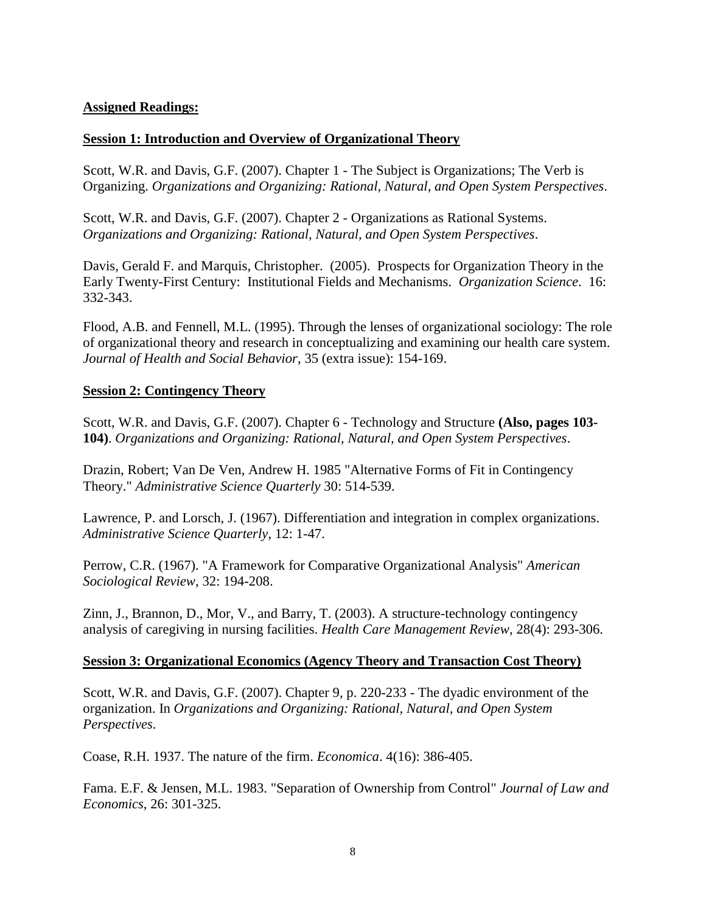# **Assigned Readings:**

# **Session 1: Introduction and Overview of Organizational Theory**

Scott, W.R. and Davis, G.F. (2007). Chapter 1 - The Subject is Organizations; The Verb is Organizing. *Organizations and Organizing: Rational, Natural, and Open System Perspectives*.

Scott, W.R. and Davis, G.F. (2007). Chapter 2 - Organizations as Rational Systems. *Organizations and Organizing: Rational, Natural, and Open System Perspectives*.

Davis, Gerald F. and Marquis, Christopher. (2005). Prospects for Organization Theory in the Early Twenty-First Century: Institutional Fields and Mechanisms. *Organization Science*. 16: 332-343.

Flood, A.B. and Fennell, M.L. (1995). Through the lenses of organizational sociology: The role of organizational theory and research in conceptualizing and examining our health care system. *Journal of Health and Social Behavior*, 35 (extra issue): 154-169.

## **Session 2: Contingency Theory**

Scott, W.R. and Davis, G.F. (2007). Chapter 6 - Technology and Structure **(Also, pages 103- 104)**. *Organizations and Organizing: Rational, Natural, and Open System Perspectives*.

Drazin, Robert; Van De Ven, Andrew H. 1985 "Alternative Forms of Fit in Contingency Theory." *Administrative Science Quarterly* 30: 514-539.

Lawrence, P. and Lorsch, J. (1967). Differentiation and integration in complex organizations. *Administrative Science Quarterly*, 12: 1-47.

Perrow, C.R. (1967). "A Framework for Comparative Organizational Analysis" *American Sociological Review*, 32: 194-208.

Zinn, J., Brannon, D., Mor, V., and Barry, T. (2003). A structure-technology contingency analysis of caregiving in nursing facilities. *Health Care Management Review*, 28(4): 293-306.

## **Session 3: Organizational Economics (Agency Theory and Transaction Cost Theory)**

Scott, W.R. and Davis, G.F. (2007). Chapter 9, p. 220-233 - The dyadic environment of the organization. In *Organizations and Organizing: Rational, Natural, and Open System Perspectives*.

Coase, R.H. 1937. The nature of the firm. *Economica*. 4(16): 386-405.

Fama. E.F. & Jensen, M.L. 1983. "Separation of Ownership from Control" *Journal of Law and Economics*, 26: 301-325.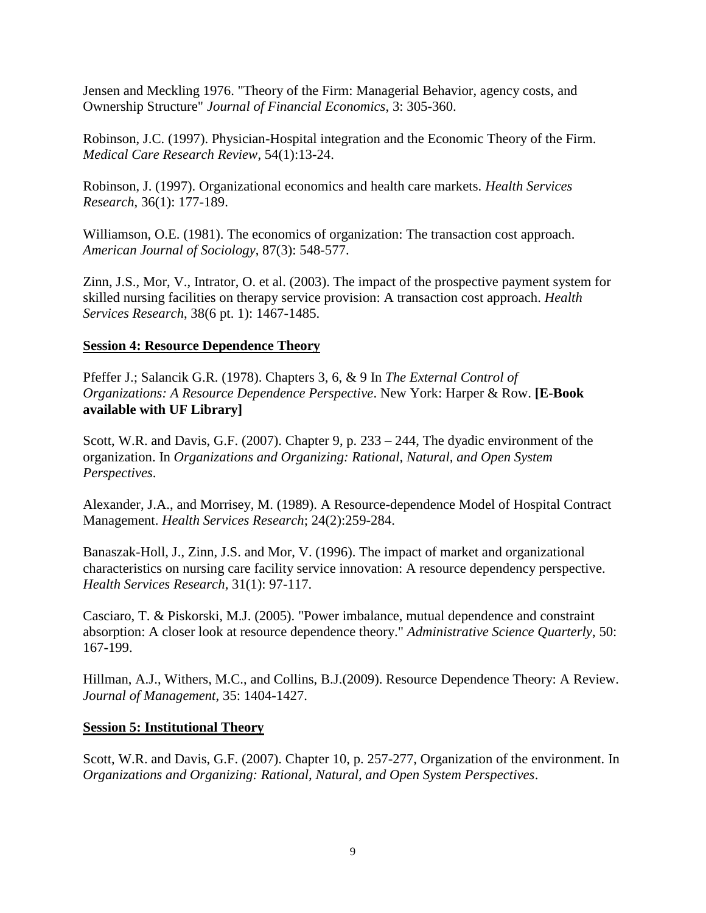Jensen and Meckling 1976. "Theory of the Firm: Managerial Behavior, agency costs, and Ownership Structure" *Journal of Financial Economics*, 3: 305-360.

Robinson, J.C. (1997). Physician-Hospital integration and the Economic Theory of the Firm. *Medical Care Research Review*, 54(1):13-24.

Robinson, J. (1997). Organizational economics and health care markets. *Health Services Research*, 36(1): 177-189.

Williamson, O.E. (1981). The economics of organization: The transaction cost approach. *American Journal of Sociology*, 87(3): 548-577.

Zinn, J.S., Mor, V., Intrator, O. et al. (2003). The impact of the prospective payment system for skilled nursing facilities on therapy service provision: A transaction cost approach. *Health Services Research*, 38(6 pt. 1): 1467-1485.

# **Session 4: Resource Dependence Theory**

Pfeffer J.; Salancik G.R. (1978). Chapters 3, 6, & 9 In *The External Control of Organizations: A Resource Dependence Perspective*. New York: Harper & Row. **[E-Book available with UF Library]**

Scott, W.R. and Davis, G.F. (2007). Chapter 9, p. 233 – 244, The dyadic environment of the organization. In *Organizations and Organizing: Rational, Natural, and Open System Perspectives*.

Alexander, J.A., and Morrisey, M. (1989). A Resource-dependence Model of Hospital Contract Management. *Health Services Research*; 24(2):259-284.

Banaszak-Holl, J., Zinn, J.S. and Mor, V. (1996). The impact of market and organizational characteristics on nursing care facility service innovation: A resource dependency perspective. *Health Services Research*, 31(1): 97-117.

Casciaro, T. & Piskorski, M.J. (2005). "Power imbalance, mutual dependence and constraint absorption: A closer look at resource dependence theory." *Administrative Science Quarterly*, 50: 167-199.

Hillman, A.J., Withers, M.C., and Collins, B.J.(2009). Resource Dependence Theory: A Review. *Journal of Management*, 35: 1404-1427.

## **Session 5: Institutional Theory**

Scott, W.R. and Davis, G.F. (2007). Chapter 10, p. 257-277, Organization of the environment. In *Organizations and Organizing: Rational, Natural, and Open System Perspectives*.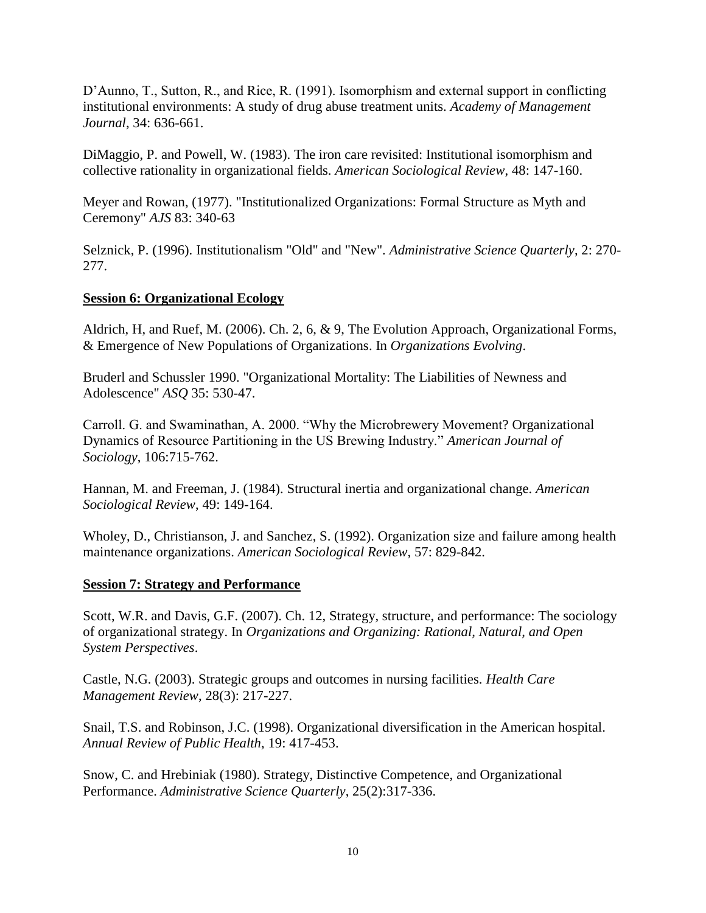D'Aunno, T., Sutton, R., and Rice, R. (1991). Isomorphism and external support in conflicting institutional environments: A study of drug abuse treatment units. *Academy of Management Journal*, 34: 636-661.

DiMaggio, P. and Powell, W. (1983). The iron care revisited: Institutional isomorphism and collective rationality in organizational fields. *American Sociological Review*, 48: 147-160.

Meyer and Rowan, (1977). "Institutionalized Organizations: Formal Structure as Myth and Ceremony" *AJS* 83: 340-63

Selznick, P. (1996). Institutionalism "Old" and "New". *Administrative Science Quarterly*, 2: 270- 277.

# **Session 6: Organizational Ecology**

Aldrich, H, and Ruef, M. (2006). Ch. 2, 6, & 9, The Evolution Approach, Organizational Forms, & Emergence of New Populations of Organizations. In *Organizations Evolving*.

Bruderl and Schussler 1990. "Organizational Mortality: The Liabilities of Newness and Adolescence" *ASQ* 35: 530-47.

Carroll. G. and Swaminathan, A. 2000. "Why the Microbrewery Movement? Organizational Dynamics of Resource Partitioning in the US Brewing Industry." *American Journal of Sociology*, 106:715-762.

Hannan, M. and Freeman, J. (1984). Structural inertia and organizational change. *American Sociological Review*, 49: 149-164.

Wholey, D., Christianson, J. and Sanchez, S. (1992). Organization size and failure among health maintenance organizations. *American Sociological Review*, 57: 829-842.

# **Session 7: Strategy and Performance**

Scott, W.R. and Davis, G.F. (2007). Ch. 12, Strategy, structure, and performance: The sociology of organizational strategy. In *Organizations and Organizing: Rational, Natural, and Open System Perspectives*.

Castle, N.G. (2003). Strategic groups and outcomes in nursing facilities. *Health Care Management Review*, 28(3): 217-227.

Snail, T.S. and Robinson, J.C. (1998). Organizational diversification in the American hospital. *Annual Review of Public Health*, 19: 417-453.

Snow, C. and Hrebiniak (1980). Strategy, Distinctive Competence, and Organizational Performance. *Administrative Science Quarterly*, 25(2):317-336.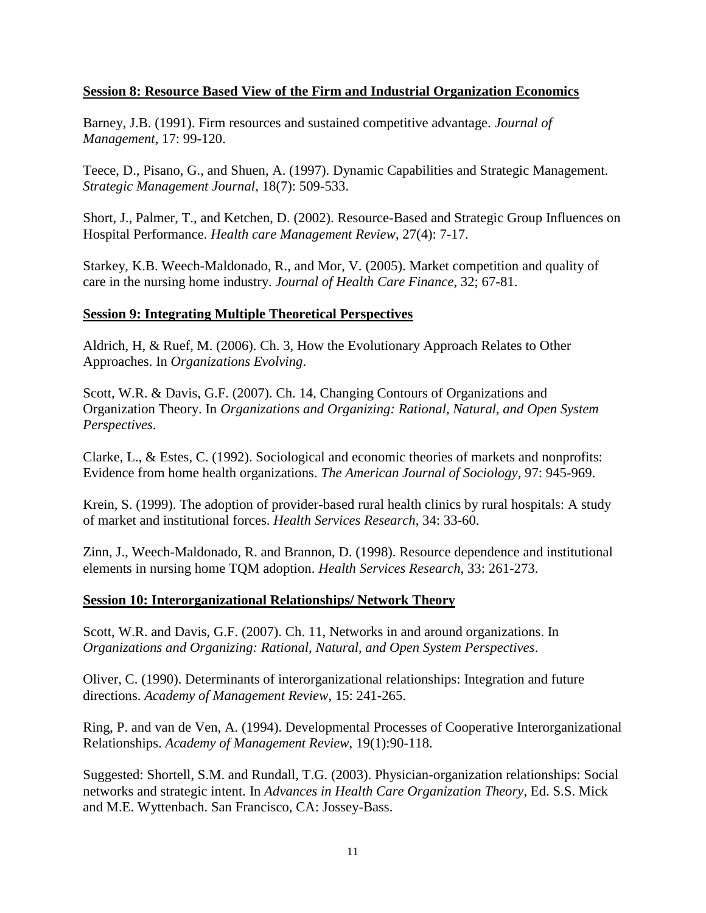# **Session 8: Resource Based View of the Firm and Industrial Organization Economics**

Barney, J.B. (1991). Firm resources and sustained competitive advantage. *Journal of Management*, 17: 99-120.

Teece, D., Pisano, G., and Shuen, A. (1997). Dynamic Capabilities and Strategic Management. *Strategic Management Journal*, 18(7): 509-533.

Short, J., Palmer, T., and Ketchen, D. (2002). Resource-Based and Strategic Group Influences on Hospital Performance. *Health care Management Review*, 27(4): 7-17.

Starkey, K.B. Weech-Maldonado, R., and Mor, V. (2005). Market competition and quality of care in the nursing home industry. *Journal of Health Care Finance*, 32; 67-81.

# **Session 9: Integrating Multiple Theoretical Perspectives**

Aldrich, H, & Ruef, M. (2006). Ch. 3, How the Evolutionary Approach Relates to Other Approaches. In *Organizations Evolving*.

Scott, W.R. & Davis, G.F. (2007). Ch. 14, Changing Contours of Organizations and Organization Theory. In *Organizations and Organizing: Rational, Natural, and Open System Perspectives*.

Clarke, L., & Estes, C. (1992). Sociological and economic theories of markets and nonprofits: Evidence from home health organizations. *The American Journal of Sociology*, 97: 945-969.

Krein, S. (1999). The adoption of provider-based rural health clinics by rural hospitals: A study of market and institutional forces. *Health Services Research*, 34: 33-60.

Zinn, J., Weech-Maldonado, R. and Brannon, D. (1998). Resource dependence and institutional elements in nursing home TQM adoption. *Health Services Research*, 33: 261-273.

## **Session 10: Interorganizational Relationships/ Network Theory**

Scott, W.R. and Davis, G.F. (2007). Ch. 11, Networks in and around organizations. In *Organizations and Organizing: Rational, Natural, and Open System Perspectives*.

Oliver, C. (1990). Determinants of interorganizational relationships: Integration and future directions. *Academy of Management Review*, 15: 241-265.

Ring, P. and van de Ven, A. (1994). Developmental Processes of Cooperative Interorganizational Relationships. *Academy of Management Review*, 19(1):90-118.

Suggested: Shortell, S.M. and Rundall, T.G. (2003). Physician-organization relationships: Social networks and strategic intent. In *Advances in Health Care Organization Theory*, Ed. S.S. Mick and M.E. Wyttenbach. San Francisco, CA: Jossey-Bass.